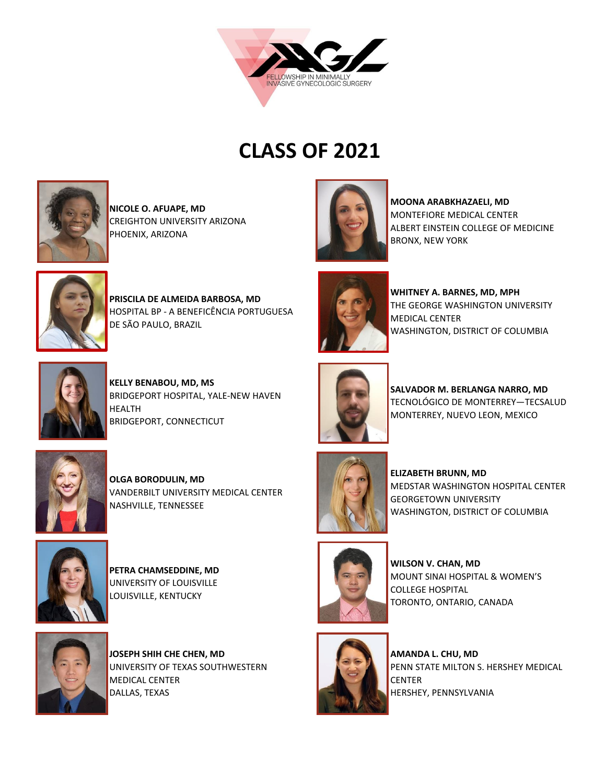



**NICOLE O. AFUAPE, MD**  CREIGHTON UNIVERSITY ARIZONA PHOENIX, ARIZONA



**MOONA ARABKHAZAELI, MD**  MONTEFIORE MEDICAL CENTER ALBERT EINSTEIN COLLEGE OF MEDICINE BRONX, NEW YORK



**PRISCILA DE ALMEIDA BARBOSA, MD**  HOSPITAL BP - A BENEFICÊNCIA PORTUGUESA DE SÃO PAULO, BRAZIL



**KELLY BENABOU, MD, MS**  BRIDGEPORT HOSPITAL, YALE-NEW HAVEN HEALTH BRIDGEPORT, CONNECTICUT



**OLGA BORODULIN, MD**  VANDERBILT UNIVERSITY MEDICAL CENTER NASHVILLE, TENNESSEE



**PETRA CHAMSEDDINE, MD**  UNIVERSITY OF LOUISVILLE LOUISVILLE, KENTUCKY



**JOSEPH SHIH CHE CHEN, MD**  UNIVERSITY OF TEXAS SOUTHWESTERN MEDICAL CENTER DALLAS, TEXAS



**WHITNEY A. BARNES, MD, MPH** THE GEORGE WASHINGTON UNIVERSITY MEDICAL CENTER WASHINGTON, DISTRICT OF COLUMBIA



**SALVADOR M. BERLANGA NARRO, MD**  TECNOLÓGICO DE MONTERREY—TECSALUD MONTERREY, NUEVO LEON, MEXICO



**ELIZABETH BRUNN, MD**  MEDSTAR WASHINGTON HOSPITAL CENTER GEORGETOWN UNIVERSITY WASHINGTON, DISTRICT OF COLUMBIA



**WILSON V. CHAN, MD**  MOUNT SINAI HOSPITAL & WOMEN'S COLLEGE HOSPITAL TORONTO, ONTARIO, CANADA



**AMANDA L. CHU, MD**  PENN STATE MILTON S. HERSHEY MEDICAL **CENTER** HERSHEY, PENNSYLVANIA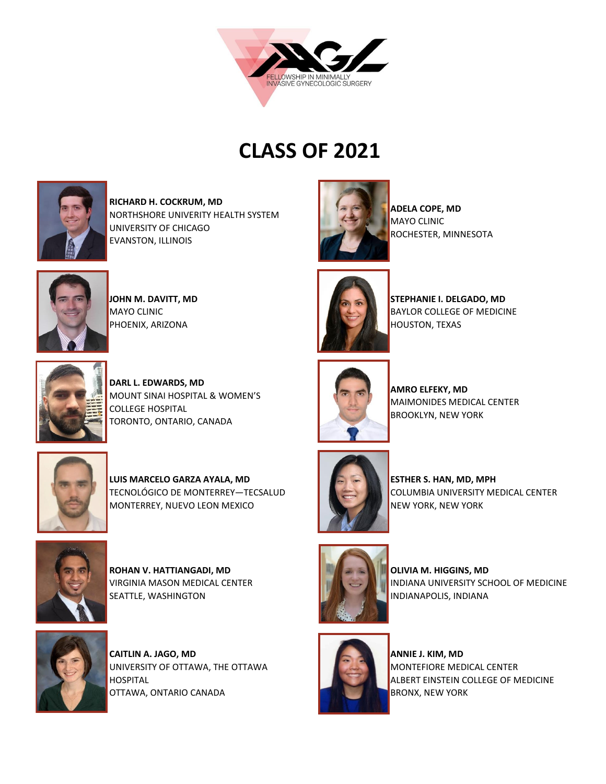



**RICHARD H. COCKRUM, MD**  NORTHSHORE UNIVERITY HEALTH SYSTEM UNIVERSITY OF CHICAGO EVANSTON, ILLINOIS



**JOHN M. DAVITT, MD**  MAYO CLINIC PHOENIX, ARIZONA



**STEPHANIE I. DELGADO, MD** 

ROCHESTER, MINNESOTA

**ADELA COPE, MD**  MAYO CLINIC



**DARL L. EDWARDS, MD**  MOUNT SINAI HOSPITAL & WOMEN'S COLLEGE HOSPITAL TORONTO, ONTARIO, CANADA



**LUIS MARCELO GARZA AYALA, MD** TECNOLÓGICO DE MONTERREY—TECSALUD MONTERREY, NUEVO LEON MEXICO



**ROHAN V. HATTIANGADI, MD**  VIRGINIA MASON MEDICAL CENTER SEATTLE, WASHINGTON



**CAITLIN A. JAGO, MD**  UNIVERSITY OF OTTAWA, THE OTTAWA HOSPITAL OTTAWA, ONTARIO CANADA



**AMRO ELFEKY, MD** MAIMONIDES MEDICAL CENTER BROOKLYN, NEW YORK



**ESTHER S. HAN, MD, MPH**  COLUMBIA UNIVERSITY MEDICAL CENTER NEW YORK, NEW YORK



**OLIVIA M. HIGGINS, MD**  INDIANA UNIVERSITY SCHOOL OF MEDICINE INDIANAPOLIS, INDIANA



**ANNIE J. KIM, MD**  MONTEFIORE MEDICAL CENTER ALBERT EINSTEIN COLLEGE OF MEDICINE BRONX, NEW YORK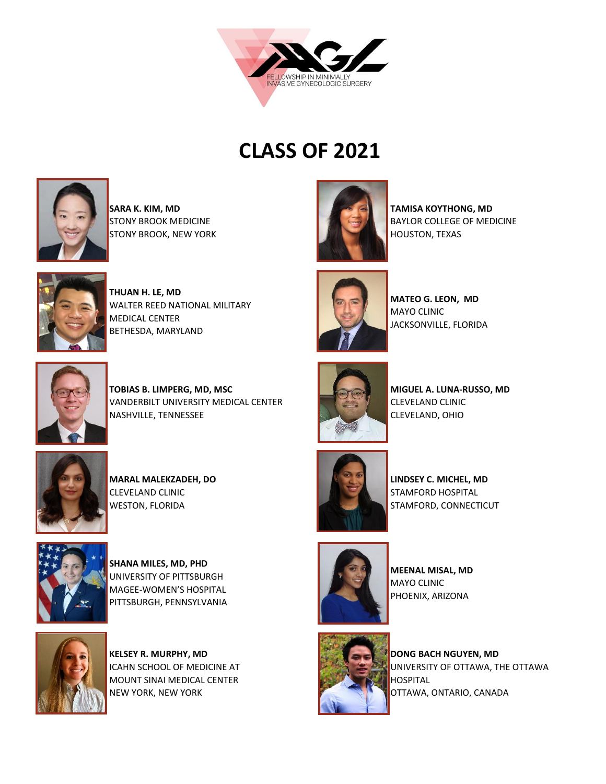



**SARA K. KIM, MD**  STONY BROOK MEDICINE STONY BROOK, NEW YORK



**TAMISA KOYTHONG, MD**  BAYLOR COLLEGE OF MEDICINE HOUSTON, TEXAS



**THUAN H. LE, MD**  WALTER REED NATIONAL MILITARY MEDICAL CENTER BETHESDA, MARYLAND



**MATEO G. LEON, MD** MAYO CLINIC JACKSONVILLE, FLORIDA



**TOBIAS B. LIMPERG, MD, MSC**  VANDERBILT UNIVERSITY MEDICAL CENTER NASHVILLE, TENNESSEE



**MARAL MALEKZADEH, DO** CLEVELAND CLINIC WESTON, FLORIDA



**SHANA MILES, MD, PHD**  UNIVERSITY OF PITTSBURGH MAGEE-WOMEN'S HOSPITAL PITTSBURGH, PENNSYLVANIA



**KELSEY R. MURPHY, MD**  ICAHN SCHOOL OF MEDICINE AT MOUNT SINAI MEDICAL CENTER NEW YORK, NEW YORK



**MIGUEL A. LUNA-RUSSO, MD** CLEVELAND CLINIC CLEVELAND, OHIO



**LINDSEY C. MICHEL, MD**  STAMFORD HOSPITAL STAMFORD, CONNECTICUT



**MEENAL MISAL, MD** MAYO CLINIC PHOENIX, ARIZONA



**DONG BACH NGUYEN, MD**  UNIVERSITY OF OTTAWA, THE OTTAWA HOSPITAL OTTAWA, ONTARIO, CANADA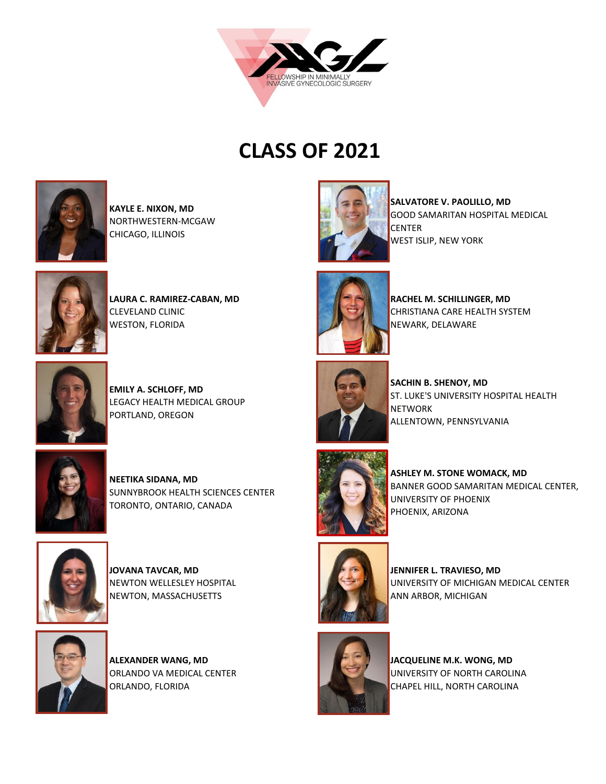



**KAYLE E. NIXON, MD** NORTHWESTERN-MCGAW CHICAGO, ILLINOIS



**LAURA C. RAMIREZ-CABAN, MD**  CLEVELAND CLINIC WESTON, FLORIDA



**EMILY A. SCHLOFF, MD**  LEGACY HEALTH MEDICAL GROUP PORTLAND, OREGON



**NEETIKA SIDANA, MD**  SUNNYBROOK HEALTH SCIENCES CENTER TORONTO, ONTARIO, CANADA



**JOVANA TAVCAR, MD**  NEWTON WELLESLEY HOSPITAL NEWTON, MASSACHUSETTS



**ALEXANDER WANG, MD**  ORLANDO VA MEDICAL CENTER ORLANDO, FLORIDA



**SALVATORE V. PAOLILLO, MD**  GOOD SAMARITAN HOSPITAL MEDICAL CENTER WEST ISLIP, NEW YORK



**RACHEL M. SCHILLINGER, MD** CHRISTIANA CARE HEALTH SYSTEM NEWARK, DELAWARE



**SACHIN B. SHENOY, MD**  ST. LUKE'S UNIVERSITY HOSPITAL HEALTH **NETWORK** ALLENTOWN, PENNSYLVANIA



**ASHLEY M. STONE WOMACK, MD**  BANNER GOOD SAMARITAN MEDICAL CENTER, UNIVERSITY OF PHOENIX PHOENIX, ARIZONA



**JENNIFER L. TRAVIESO, MD** UNIVERSITY OF MICHIGAN MEDICAL CENTER ANN ARBOR, MICHIGAN



**JACQUELINE M.K. WONG, MD** UNIVERSITY OF NORTH CAROLINA CHAPEL HILL, NORTH CAROLINA